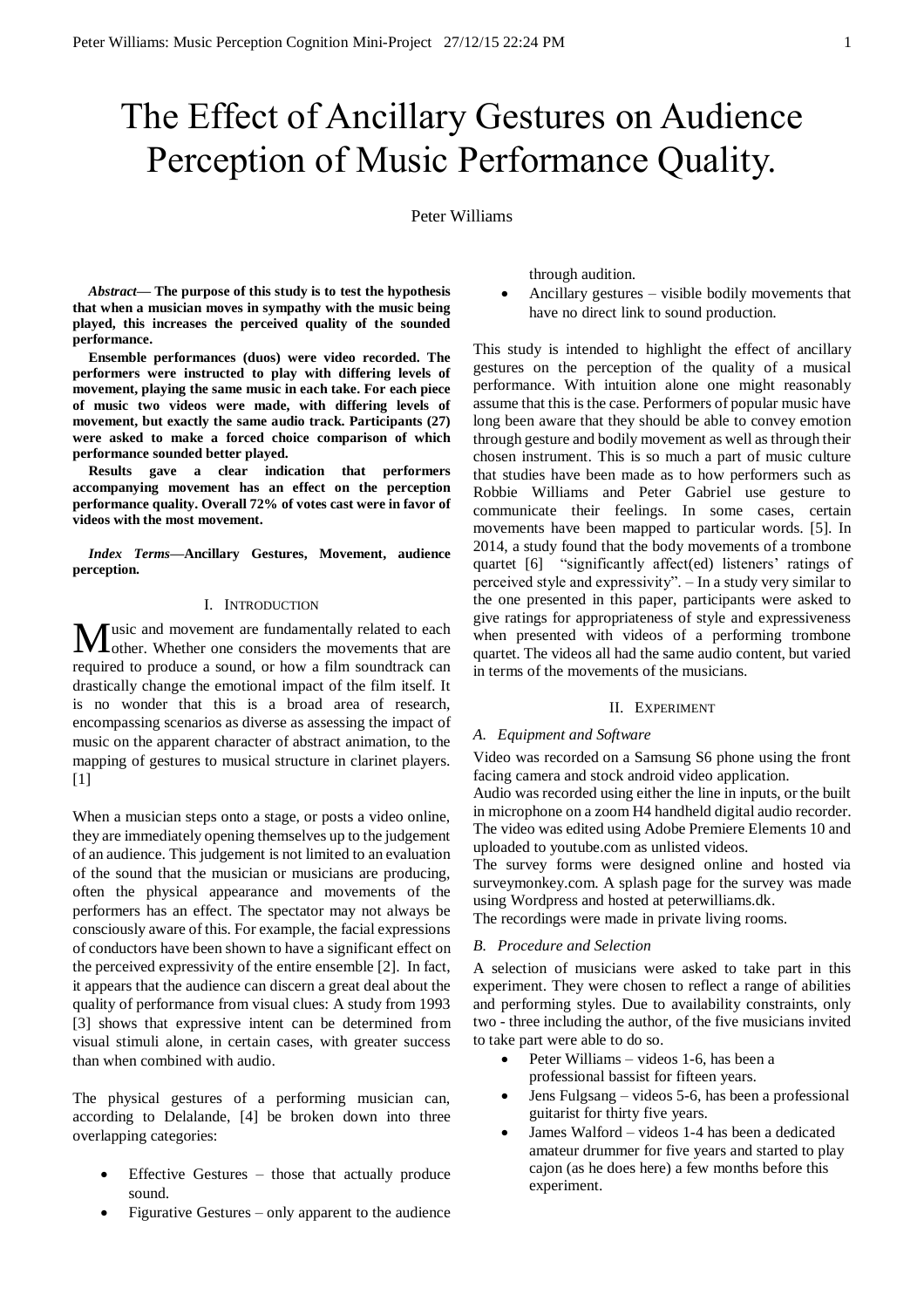# The Effect of Ancillary Gestures on Audience Perception of Music Performance Quality.

Peter Williams

*Abstract***— The purpose of this study is to test the hypothesis that when a musician moves in sympathy with the music being played, this increases the perceived quality of the sounded performance.**

**Ensemble performances (duos) were video recorded. The performers were instructed to play with differing levels of movement, playing the same music in each take. For each piece of music two videos were made, with differing levels of movement, but exactly the same audio track. Participants (27) were asked to make a forced choice comparison of which performance sounded better played.** 

**Results gave a clear indication that performers accompanying movement has an effect on the perception performance quality. Overall 72% of votes cast were in favor of videos with the most movement.**

*Index Terms***—Ancillary Gestures, Movement, audience perception.**

### I. INTRODUCTION

Iusic and movement are fundamentally related to each  $M$ usic and movement are fundamentally related to each other. Whether one considers the movements that are required to produce a sound, or how a film soundtrack can drastically change the emotional impact of the film itself. It is no wonder that this is a broad area of research, encompassing scenarios as diverse as assessing the impact of music on the apparent character of abstract animation, to the mapping of gestures to musical structure in clarinet players.  $[1]$ 

When a musician steps onto a stage, or posts a video online, they are immediately opening themselves up to the judgement of an audience. This judgement is not limited to an evaluation of the sound that the musician or musicians are producing, often the physical appearance and movements of the performers has an effect. The spectator may not always be consciously aware of this. For example, the facial expressions of conductors have been shown to have a significant effect on the perceived expressivity of the entire ensemble [2]. In fact, it appears that the audience can discern a great deal about the quality of performance from visual clues: A study from 1993 [3] shows that expressive intent can be determined from visual stimuli alone, in certain cases, with greater success than when combined with audio.

The physical gestures of a performing musician can, according to Delalande, [4] be broken down into three overlapping categories:

- Effective Gestures those that actually produce sound.
- Figurative Gestures only apparent to the audience

through audition.

 Ancillary gestures – visible bodily movements that have no direct link to sound production.

This study is intended to highlight the effect of ancillary gestures on the perception of the quality of a musical performance. With intuition alone one might reasonably assume that this is the case. Performers of popular music have long been aware that they should be able to convey emotion through gesture and bodily movement as well as through their chosen instrument. This is so much a part of music culture that studies have been made as to how performers such as Robbie Williams and Peter Gabriel use gesture to communicate their feelings. In some cases, certain movements have been mapped to particular words. [5]. In 2014, a study found that the body movements of a trombone quartet [6] "significantly affect(ed) listeners' ratings of perceived style and expressivity". – In a study very similar to the one presented in this paper, participants were asked to give ratings for appropriateness of style and expressiveness when presented with videos of a performing trombone quartet. The videos all had the same audio content, but varied in terms of the movements of the musicians.

## II. EXPERIMENT

#### *A. Equipment and Software*

Video was recorded on a Samsung S6 phone using the front facing camera and stock android video application.

Audio was recorded using either the line in inputs, or the built in microphone on a zoom H4 handheld digital audio recorder. The video was edited using Adobe Premiere Elements 10 and uploaded to youtube.com as unlisted videos.

The survey forms were designed online and hosted via surveymonkey.com. A splash page for the survey was made using Wordpress and hosted at peterwilliams.dk.

The recordings were made in private living rooms.

## *B. Procedure and Selection*

A selection of musicians were asked to take part in this experiment. They were chosen to reflect a range of abilities and performing styles. Due to availability constraints, only two - three including the author, of the five musicians invited to take part were able to do so.

- Peter Williams videos 1-6, has been a professional bassist for fifteen years.
- Jens Fulgsang videos 5-6, has been a professional guitarist for thirty five years.
- James Walford videos 1-4 has been a dedicated amateur drummer for five years and started to play cajon (as he does here) a few months before this experiment.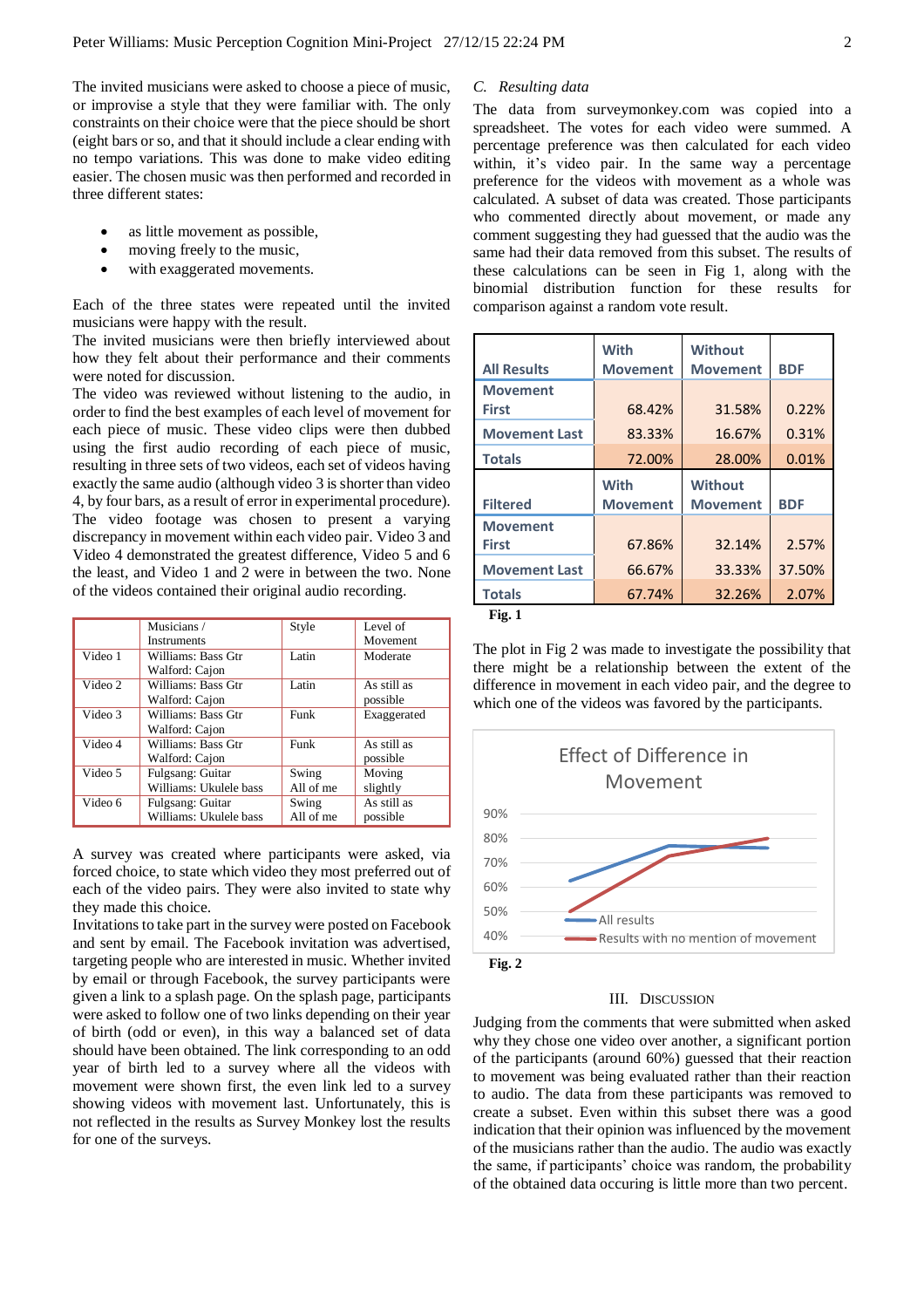The invited musicians were asked to choose a piece of music, or improvise a style that they were familiar with. The only constraints on their choice were that the piece should be short (eight bars or so, and that it should include a clear ending with no tempo variations. This was done to make video editing easier. The chosen music was then performed and recorded in three different states:

- as little movement as possible,
- moving freely to the music,
- with exaggerated movements.

Each of the three states were repeated until the invited musicians were happy with the result.

The invited musicians were then briefly interviewed about how they felt about their performance and their comments were noted for discussion.

The video was reviewed without listening to the audio, in order to find the best examples of each level of movement for each piece of music. These video clips were then dubbed using the first audio recording of each piece of music, resulting in three sets of two videos, each set of videos having exactly the same audio (although video 3 is shorter than video 4, by four bars, as a result of error in experimental procedure). The video footage was chosen to present a varying discrepancy in movement within each video pair. Video 3 and Video 4 demonstrated the greatest difference, Video 5 and 6 the least, and Video 1 and 2 were in between the two. None of the videos contained their original audio recording.

|         | Musicians /            | Style     | Level of        |
|---------|------------------------|-----------|-----------------|
|         | <b>Instruments</b>     |           | <b>Movement</b> |
| Video 1 | Williams: Bass Gtr     | Latin     | Moderate        |
|         | Walford: Cajon         |           |                 |
| Video 2 | Williams: Bass Gtr     | Latin     | As still as     |
|         | Walford: Cajon         |           | possible        |
| Video 3 | Williams: Bass Gtr     | Funk      | Exaggerated     |
|         | Walford: Cajon         |           |                 |
| Video 4 | Williams: Bass Gtr     | Funk      | As still as     |
|         | Walford: Cajon         |           | possible        |
| Video 5 | Fulgsang: Guitar       | Swing     | Moving          |
|         | Williams: Ukulele bass | All of me | slightly        |
| Video 6 | Fulgsang: Guitar       | Swing     | As still as     |
|         | Williams: Ukulele bass | All of me | possible        |

A survey was created where participants were asked, via forced choice, to state which video they most preferred out of each of the video pairs. They were also invited to state why they made this choice.

Invitations to take part in the survey were posted on Facebook and sent by email. The Facebook invitation was advertised, targeting people who are interested in music. Whether invited by email or through Facebook, the survey participants were given a link to a splash page. On the splash page, participants were asked to follow one of two links depending on their year of birth (odd or even), in this way a balanced set of data should have been obtained. The link corresponding to an odd year of birth led to a survey where all the videos with movement were shown first, the even link led to a survey showing videos with movement last. Unfortunately, this is not reflected in the results as Survey Monkey lost the results for one of the surveys.

## *C. Resulting data*

The data from surveymonkey.com was copied into a spreadsheet. The votes for each video were summed. A percentage preference was then calculated for each video within, it's video pair. In the same way a percentage preference for the videos with movement as a whole was calculated. A subset of data was created. Those participants who commented directly about movement, or made any comment suggesting they had guessed that the audio was the same had their data removed from this subset. The results of these calculations can be seen in Fig 1, along with the binomial distribution function for these results for comparison against a random vote result.

|                      | <b>With</b>     | <b>Without</b>  |            |
|----------------------|-----------------|-----------------|------------|
| <b>All Results</b>   | <b>Movement</b> | <b>Movement</b> | <b>BDF</b> |
| <b>Movement</b>      |                 |                 |            |
| <b>First</b>         | 68.42%          | 31.58%          | 0.22%      |
| <b>Movement Last</b> | 83.33%          | 16.67%          | 0.31%      |
| <b>Totals</b>        | 72.00%          | 28.00%          | 0.01%      |
|                      |                 |                 |            |
|                      | <b>With</b>     | <b>Without</b>  |            |
| <b>Filtered</b>      | <b>Movement</b> | <b>Movement</b> | <b>BDF</b> |
| <b>Movement</b>      |                 |                 |            |
| <b>First</b>         | 67.86%          | 32.14%          | 2.57%      |
| <b>Movement Last</b> | 66.67%          | 33.33%          | 37.50%     |
| <b>Totals</b>        | 67.74%          | 32.26%          | 2.07%      |

**Fig. 1**

The plot in Fig 2 was made to investigate the possibility that there might be a relationship between the extent of the difference in movement in each video pair, and the degree to which one of the videos was favored by the participants.



#### III. DISCUSSION

Judging from the comments that were submitted when asked why they chose one video over another, a significant portion of the participants (around 60%) guessed that their reaction to movement was being evaluated rather than their reaction to audio. The data from these participants was removed to create a subset. Even within this subset there was a good indication that their opinion was influenced by the movement of the musicians rather than the audio. The audio was exactly the same, if participants' choice was random, the probability of the obtained data occuring is little more than two percent.